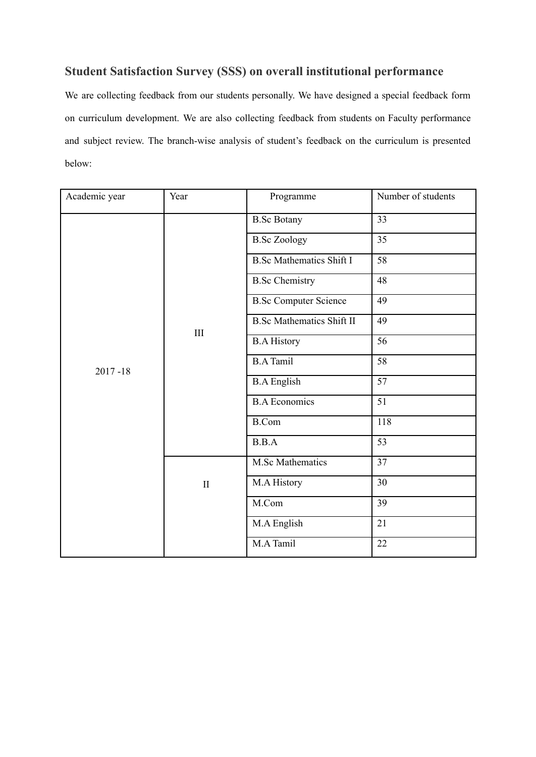# **Student Satisfaction Survey (SSS) on overall institutional performance**

We are collecting feedback from our students personally. We have designed a special feedback form on curriculum development. We are also collecting feedback from students on Faculty performance and subject review. The branch-wise analysis of student's feedback on the curriculum is presented below:

| Academic year | Year         | Programme                        | Number of students |
|---------------|--------------|----------------------------------|--------------------|
|               |              | <b>B.Sc Botany</b>               | 33                 |
|               |              | <b>B.Sc Zoology</b>              | 35                 |
|               |              | <b>B.Sc Mathematics Shift I</b>  | $\overline{58}$    |
|               |              | <b>B.Sc Chemistry</b>            | 48                 |
|               |              | <b>B.Sc Computer Science</b>     | 49                 |
|               |              | <b>B.Sc Mathematics Shift II</b> | 49                 |
|               | III          | <b>B.A History</b>               | 56                 |
| $2017 - 18$   |              | <b>B.A Tamil</b>                 | 58                 |
|               |              | <b>B.A English</b>               | 57                 |
|               |              | <b>B.A Economics</b>             | 51                 |
|               |              | <b>B.Com</b>                     | 118                |
|               |              | B.B.A                            | 53                 |
|               |              | <b>M.Sc Mathematics</b>          | 37                 |
|               | $\mathbf{I}$ | M.A History                      | 30                 |
|               |              | M.Com                            | 39                 |
|               |              | M.A English                      | 21                 |
|               |              | M.A Tamil                        | 22                 |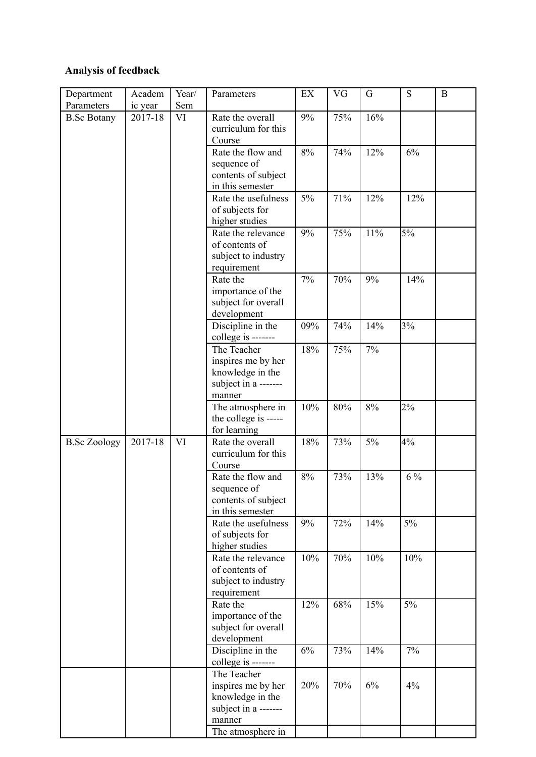# **Analysis of feedback**

| ic year<br>2017-18 | Sem<br>VI | Rate the overall                                                                        | 9%                                                               | 75%             | 16%                      |                  |             |
|--------------------|-----------|-----------------------------------------------------------------------------------------|------------------------------------------------------------------|-----------------|--------------------------|------------------|-------------|
|                    |           |                                                                                         |                                                                  |                 |                          |                  |             |
|                    |           | curriculum for this<br>Course                                                           |                                                                  |                 |                          |                  |             |
|                    |           | Rate the flow and<br>sequence of<br>contents of subject<br>in this semester             | 8%                                                               | 74%             | 12%                      | 6%               |             |
|                    |           | Rate the usefulness<br>of subjects for<br>higher studies                                | 5%                                                               | 71%             | 12%                      | 12%              |             |
|                    |           | of contents of<br>subject to industry<br>requirement                                    |                                                                  |                 |                          |                  |             |
|                    |           | Rate the<br>importance of the<br>subject for overall<br>development                     | 7%                                                               | 70%             | 9%                       | 14%              |             |
|                    |           | Discipline in the<br>college is -------                                                 | 09%                                                              | 74%             | 14%                      | 3%               |             |
|                    |           | inspires me by her<br>knowledge in the<br>subject in a -------                          |                                                                  |                 |                          |                  |             |
|                    |           | The atmosphere in<br>the college is -----<br>for learning                               | 10%                                                              | 80%             | 8%                       | 2%               |             |
| 2017-18            | VI        | Rate the overall<br>curriculum for this<br>Course                                       | 18%                                                              | 73%             | 5%                       | 4%               |             |
|                    |           | Rate the flow and<br>sequence of<br>contents of subject<br>in this semester             |                                                                  |                 |                          |                  |             |
|                    |           | Rate the usefulness<br>of subjects for<br>higher studies                                | 9%                                                               | 72%             | 14%                      | 5%               |             |
|                    |           | Rate the relevance<br>of contents of<br>subject to industry<br>requirement              | 10%                                                              |                 | 10%                      | 10%              |             |
|                    |           | Rate the<br>importance of the<br>subject for overall<br>development                     | 12%                                                              | 68%             | 15%                      | 5%               |             |
|                    |           | Discipline in the<br>college is -------                                                 | 6%                                                               | 73%             | 14%                      | 7%               |             |
|                    |           | The Teacher<br>inspires me by her<br>knowledge in the<br>subject in a -------<br>manner | 20%                                                              | 70%             | 6%                       | 4%               |             |
|                    |           |                                                                                         | Rate the relevance<br>The Teacher<br>manner<br>The atmosphere in | 9%<br>18%<br>8% | 75%<br>75%<br>73%<br>70% | 11%<br>7%<br>13% | 5%<br>$6\%$ |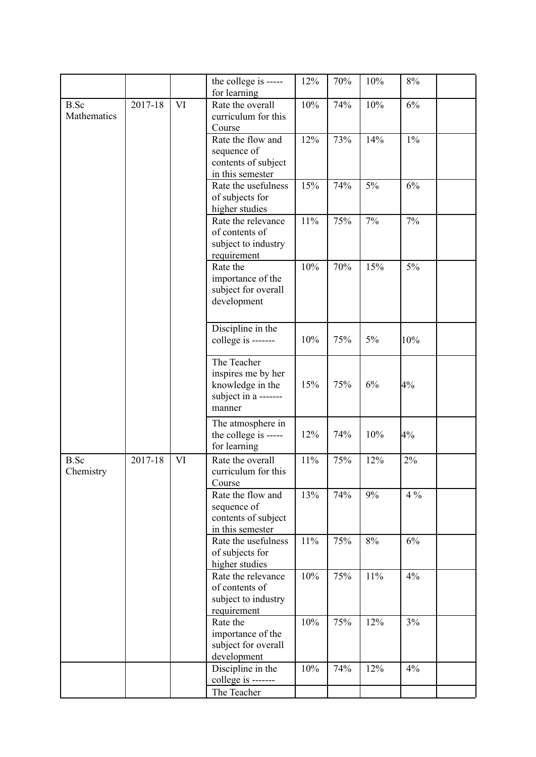|                            |         |    | the college is -----                                                                    | 12% | 70% | 10% | 8%    |  |
|----------------------------|---------|----|-----------------------------------------------------------------------------------------|-----|-----|-----|-------|--|
|                            |         |    | for learning                                                                            |     |     |     |       |  |
| <b>B.Sc</b><br>Mathematics | 2017-18 | VI | Rate the overall<br>curriculum for this<br>Course                                       | 10% | 74% | 10% | 6%    |  |
|                            |         |    | Rate the flow and<br>sequence of<br>contents of subject<br>in this semester             | 12% | 73% | 14% | $1\%$ |  |
|                            |         |    | Rate the usefulness<br>of subjects for<br>higher studies                                | 15% | 74% | 5%  | 6%    |  |
|                            |         |    | Rate the relevance<br>of contents of<br>subject to industry<br>requirement              | 11% | 75% | 7%  | 7%    |  |
|                            |         |    | Rate the<br>importance of the<br>subject for overall<br>development                     | 10% | 70% | 15% | 5%    |  |
|                            |         |    | Discipline in the<br>college is -------                                                 | 10% | 75% | 5%  | 10%   |  |
|                            |         |    | The Teacher<br>inspires me by her<br>knowledge in the<br>subject in a -------<br>manner | 15% | 75% | 6%  | 4%    |  |
|                            |         |    | The atmosphere in<br>the college is -----<br>for learning                               | 12% | 74% | 10% | 4%    |  |
| <b>B.Sc</b><br>Chemistry   | 2017-18 | VI | Rate the overall<br>curriculum for this<br>Course                                       | 11% | 75% | 12% | 2%    |  |
|                            |         |    | Rate the flow and<br>sequence of<br>contents of subject<br>in this semester             | 13% | 74% | 9%  | $4\%$ |  |
|                            |         |    | Rate the usefulness<br>of subjects for<br>higher studies                                | 11% | 75% | 8%  | 6%    |  |
|                            |         |    | Rate the relevance<br>of contents of<br>subject to industry<br>requirement              | 10% | 75% | 11% | 4%    |  |
|                            |         |    | Rate the<br>importance of the<br>subject for overall<br>development                     | 10% | 75% | 12% | 3%    |  |
|                            |         |    | Discipline in the<br>college is -------                                                 | 10% | 74% | 12% | 4%    |  |
|                            |         |    | The Teacher                                                                             |     |     |     |       |  |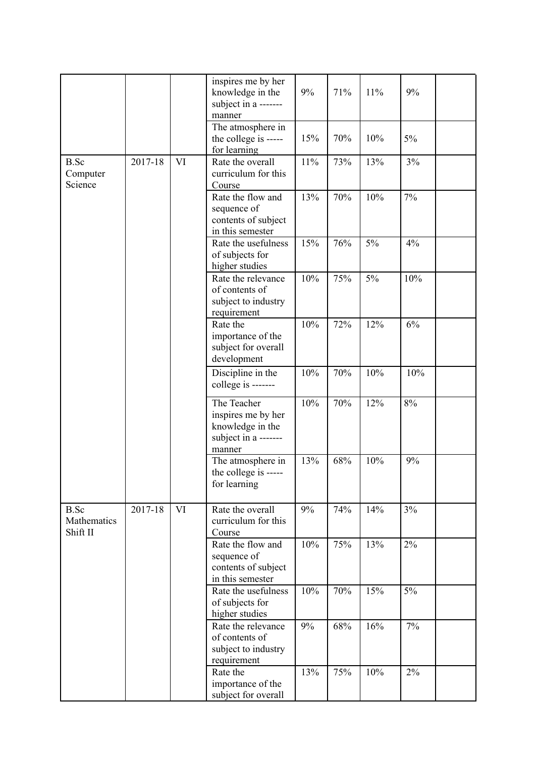|                                        |         |           | inspires me by her<br>knowledge in the<br>subject in a -------<br>manner<br>The atmosphere in | 9%  | 71% | 11% | 9%  |
|----------------------------------------|---------|-----------|-----------------------------------------------------------------------------------------------|-----|-----|-----|-----|
|                                        |         |           | the college is -----<br>for learning                                                          | 15% | 70% | 10% | 5%  |
| <b>B.Sc</b><br>Computer<br>Science     | 2017-18 | VI        | Rate the overall<br>curriculum for this<br>Course                                             | 11% | 73% | 13% | 3%  |
|                                        |         |           | Rate the flow and<br>sequence of<br>contents of subject<br>in this semester                   | 13% | 70% | 10% | 7%  |
|                                        |         |           | Rate the usefulness<br>of subjects for<br>higher studies                                      | 15% | 76% | 5%  | 4%  |
|                                        |         |           | Rate the relevance<br>of contents of<br>subject to industry<br>requirement                    | 10% | 75% | 5%  | 10% |
|                                        |         |           | Rate the<br>importance of the<br>subject for overall<br>development                           | 10% | 72% | 12% | 6%  |
|                                        |         |           | Discipline in the<br>college is -------                                                       | 10% | 70% | 10% | 10% |
|                                        |         |           | The Teacher<br>inspires me by her<br>knowledge in the<br>subject in a -------<br>manner       | 10% | 70% | 12% | 8%  |
|                                        |         |           | The atmosphere in<br>the college is -----<br>for learning                                     | 13% | 68% | 10% | 9%  |
| <b>B.Sc</b><br>Mathematics<br>Shift II | 2017-18 | <b>VI</b> | Rate the overall<br>curriculum for this<br>Course                                             | 9%  | 74% | 14% | 3%  |
|                                        |         |           | Rate the flow and<br>sequence of<br>contents of subject<br>in this semester                   | 10% | 75% | 13% | 2%  |
|                                        |         |           | Rate the usefulness<br>of subjects for<br>higher studies                                      | 10% | 70% | 15% | 5%  |
|                                        |         |           | Rate the relevance<br>of contents of<br>subject to industry<br>requirement                    | 9%  | 68% | 16% | 7%  |
|                                        |         |           | Rate the<br>importance of the<br>subject for overall                                          | 13% | 75% | 10% | 2%  |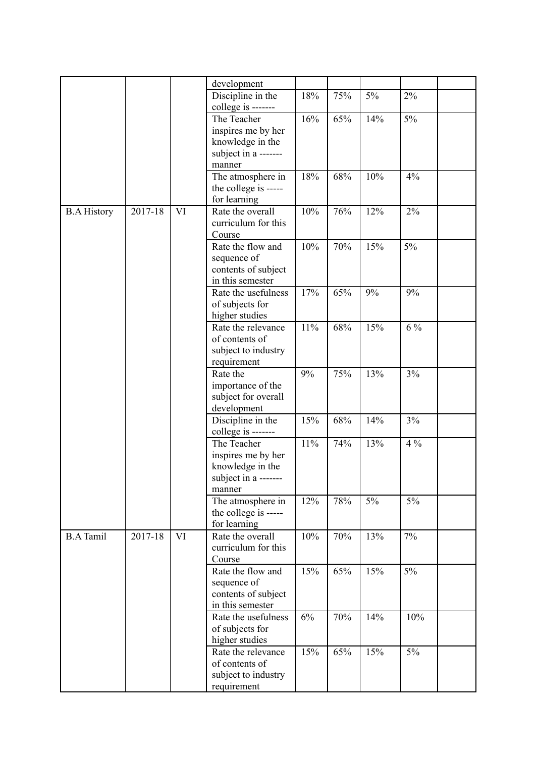|                    |         |           | development          |     |     |       |       |  |
|--------------------|---------|-----------|----------------------|-----|-----|-------|-------|--|
|                    |         |           | Discipline in the    | 18% | 75% | $5\%$ | 2%    |  |
|                    |         |           | college is -------   |     |     |       |       |  |
|                    |         |           | The Teacher          | 16% | 65% | 14%   | 5%    |  |
|                    |         |           | inspires me by her   |     |     |       |       |  |
|                    |         |           | knowledge in the     |     |     |       |       |  |
|                    |         |           | subject in a ------- |     |     |       |       |  |
|                    |         |           | manner               |     |     |       |       |  |
|                    |         |           | The atmosphere in    | 18% | 68% | 10%   | 4%    |  |
|                    |         |           | the college is ----- |     |     |       |       |  |
|                    |         |           | for learning         |     |     |       |       |  |
| <b>B.A History</b> | 2017-18 | VI        | Rate the overall     | 10% | 76% | 12%   | 2%    |  |
|                    |         |           | curriculum for this  |     |     |       |       |  |
|                    |         |           | Course               |     |     |       |       |  |
|                    |         |           | Rate the flow and    | 10% | 70% | 15%   | 5%    |  |
|                    |         |           | sequence of          |     |     |       |       |  |
|                    |         |           | contents of subject  |     |     |       |       |  |
|                    |         |           | in this semester     |     |     |       |       |  |
|                    |         |           |                      |     |     |       |       |  |
|                    |         |           | Rate the usefulness  | 17% | 65% | 9%    | 9%    |  |
|                    |         |           | of subjects for      |     |     |       |       |  |
|                    |         |           | higher studies       |     |     |       |       |  |
|                    |         |           | Rate the relevance   | 11% | 68% | 15%   | $6\%$ |  |
|                    |         |           | of contents of       |     |     |       |       |  |
|                    |         |           | subject to industry  |     |     |       |       |  |
|                    |         |           | requirement          |     |     |       |       |  |
|                    |         |           | Rate the             | 9%  | 75% | 13%   | 3%    |  |
|                    |         |           | importance of the    |     |     |       |       |  |
|                    |         |           | subject for overall  |     |     |       |       |  |
|                    |         |           | development          |     |     |       |       |  |
|                    |         |           | Discipline in the    | 15% | 68% | 14%   | 3%    |  |
|                    |         |           | college is -------   |     |     |       |       |  |
|                    |         |           | The Teacher          | 11% | 74% | 13%   | $4\%$ |  |
|                    |         |           | inspires me by her   |     |     |       |       |  |
|                    |         |           | knowledge in the     |     |     |       |       |  |
|                    |         |           | subject in a -       |     |     |       |       |  |
|                    |         |           | manner               |     |     |       |       |  |
|                    |         |           | The atmosphere in    | 12% | 78% | $5\%$ | $5\%$ |  |
|                    |         |           | the college is ----- |     |     |       |       |  |
|                    |         |           | for learning         |     |     |       |       |  |
| <b>B.A Tamil</b>   | 2017-18 | <b>VI</b> | Rate the overall     | 10% | 70% | 13%   | 7%    |  |
|                    |         |           | curriculum for this  |     |     |       |       |  |
|                    |         |           | Course               |     |     |       |       |  |
|                    |         |           | Rate the flow and    | 15% | 65% | 15%   | 5%    |  |
|                    |         |           |                      |     |     |       |       |  |
|                    |         |           | sequence of          |     |     |       |       |  |
|                    |         |           | contents of subject  |     |     |       |       |  |
|                    |         |           | in this semester     |     |     |       |       |  |
|                    |         |           | Rate the usefulness  | 6%  | 70% | 14%   | 10%   |  |
|                    |         |           | of subjects for      |     |     |       |       |  |
|                    |         |           | higher studies       |     |     |       |       |  |
|                    |         |           | Rate the relevance   | 15% | 65% | 15%   | $5\%$ |  |
|                    |         |           | of contents of       |     |     |       |       |  |
|                    |         |           | subject to industry  |     |     |       |       |  |
|                    |         |           | requirement          |     |     |       |       |  |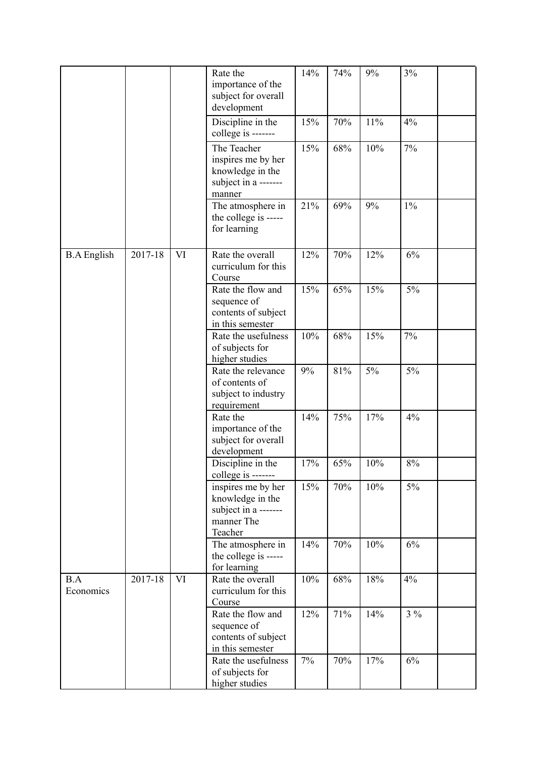|                    |         |    | Rate the<br>importance of the<br>subject for overall<br>development                     | 14% | 74% | 9%  | 3%    |  |
|--------------------|---------|----|-----------------------------------------------------------------------------------------|-----|-----|-----|-------|--|
|                    |         |    | Discipline in the<br>college is -------                                                 | 15% | 70% | 11% | 4%    |  |
|                    |         |    | The Teacher<br>inspires me by her<br>knowledge in the<br>subject in a -------<br>manner | 15% | 68% | 10% | 7%    |  |
|                    |         |    | The atmosphere in<br>the college is -----<br>for learning                               | 21% | 69% | 9%  | $1\%$ |  |
| <b>B.A</b> English | 2017-18 | VI | Rate the overall<br>curriculum for this<br>Course                                       | 12% | 70% | 12% | 6%    |  |
|                    |         |    | Rate the flow and<br>sequence of<br>contents of subject<br>in this semester             | 15% | 65% | 15% | 5%    |  |
|                    |         |    | Rate the usefulness<br>of subjects for<br>higher studies                                | 10% | 68% | 15% | 7%    |  |
|                    |         |    | Rate the relevance<br>of contents of<br>subject to industry<br>requirement              | 9%  | 81% | 5%  | 5%    |  |
|                    |         |    | Rate the<br>importance of the<br>subject for overall<br>development                     | 14% | 75% | 17% | 4%    |  |
|                    |         |    | Discipline in the<br>college is -------                                                 | 17% | 65% | 10% | 8%    |  |
|                    |         |    | inspires me by her<br>knowledge in the<br>subject in a -------<br>manner The<br>Teacher | 15% | 70% | 10% | $5\%$ |  |
|                    |         |    | The atmosphere in<br>the college is -----<br>for learning                               | 14% | 70% | 10% | 6%    |  |
| B.A<br>Economics   | 2017-18 | VI | Rate the overall<br>curriculum for this<br>Course                                       | 10% | 68% | 18% | 4%    |  |
|                    |         |    | Rate the flow and<br>sequence of<br>contents of subject<br>in this semester             | 12% | 71% | 14% | $3\%$ |  |
|                    |         |    | Rate the usefulness<br>of subjects for<br>higher studies                                | 7%  | 70% | 17% | 6%    |  |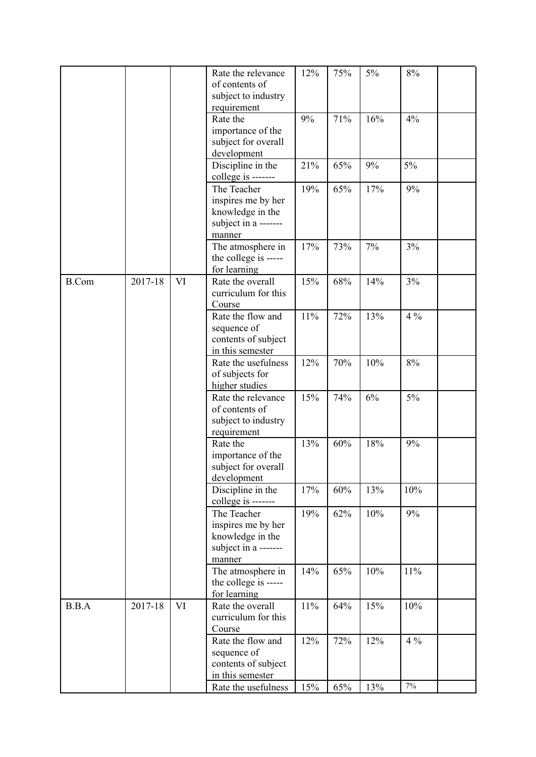|              |         |    | Rate the relevance   | 12% | 75% | $5\%$ | $8\%$ |  |
|--------------|---------|----|----------------------|-----|-----|-------|-------|--|
|              |         |    | of contents of       |     |     |       |       |  |
|              |         |    | subject to industry  |     |     |       |       |  |
|              |         |    | requirement          |     |     |       |       |  |
|              |         |    | Rate the             | 9%  | 71% | 16%   | 4%    |  |
|              |         |    | importance of the    |     |     |       |       |  |
|              |         |    | subject for overall  |     |     |       |       |  |
|              |         |    | development          |     |     |       |       |  |
|              |         |    | Discipline in the    | 21% | 65% | 9%    | 5%    |  |
|              |         |    | college is -------   |     |     |       |       |  |
|              |         |    | The Teacher          | 19% | 65% | 17%   | 9%    |  |
|              |         |    | inspires me by her   |     |     |       |       |  |
|              |         |    |                      |     |     |       |       |  |
|              |         |    | knowledge in the     |     |     |       |       |  |
|              |         |    | subject in a ------- |     |     |       |       |  |
|              |         |    | manner               |     |     |       |       |  |
|              |         |    | The atmosphere in    | 17% | 73% | 7%    | 3%    |  |
|              |         |    | the college is ----- |     |     |       |       |  |
|              |         |    | for learning         |     |     |       |       |  |
| <b>B.Com</b> | 2017-18 | VI | Rate the overall     | 15% | 68% | 14%   | 3%    |  |
|              |         |    | curriculum for this  |     |     |       |       |  |
|              |         |    | Course               |     |     |       |       |  |
|              |         |    | Rate the flow and    | 11% | 72% | 13%   | $4\%$ |  |
|              |         |    | sequence of          |     |     |       |       |  |
|              |         |    | contents of subject  |     |     |       |       |  |
|              |         |    | in this semester     |     |     |       |       |  |
|              |         |    | Rate the usefulness  | 12% | 70% | 10%   | $8\%$ |  |
|              |         |    |                      |     |     |       |       |  |
|              |         |    | of subjects for      |     |     |       |       |  |
|              |         |    | higher studies       |     |     |       |       |  |
|              |         |    | Rate the relevance   | 15% | 74% | 6%    | $5\%$ |  |
|              |         |    | of contents of       |     |     |       |       |  |
|              |         |    | subject to industry  |     |     |       |       |  |
|              |         |    | requirement          |     |     |       |       |  |
|              |         |    | Rate the             | 13% | 60% | 18%   | 9%    |  |
|              |         |    | importance of the    |     |     |       |       |  |
|              |         |    | subject for overall  |     |     |       |       |  |
|              |         |    | development          |     |     |       |       |  |
|              |         |    | Discipline in the    | 17% | 60% | 13%   | 10%   |  |
|              |         |    | college is -------   |     |     |       |       |  |
|              |         |    | The Teacher          | 19% | 62% | 10%   | 9%    |  |
|              |         |    |                      |     |     |       |       |  |
|              |         |    | inspires me by her   |     |     |       |       |  |
|              |         |    | knowledge in the     |     |     |       |       |  |
|              |         |    | subject in a ------- |     |     |       |       |  |
|              |         |    | manner               |     |     |       |       |  |
|              |         |    | The atmosphere in    | 14% | 65% | 10%   | 11%   |  |
|              |         |    | the college is ----- |     |     |       |       |  |
|              |         |    | for learning         |     |     |       |       |  |
| B.B.A        | 2017-18 | VI | Rate the overall     | 11% | 64% | 15%   | 10%   |  |
|              |         |    | curriculum for this  |     |     |       |       |  |
|              |         |    | Course               |     |     |       |       |  |
|              |         |    | Rate the flow and    | 12% | 72% | 12%   | $4\%$ |  |
|              |         |    | sequence of          |     |     |       |       |  |
|              |         |    | contents of subject  |     |     |       |       |  |
|              |         |    | in this semester     |     |     |       |       |  |
|              |         |    | Rate the usefulness  | 15% | 65% | 13%   | $7\%$ |  |
|              |         |    |                      |     |     |       |       |  |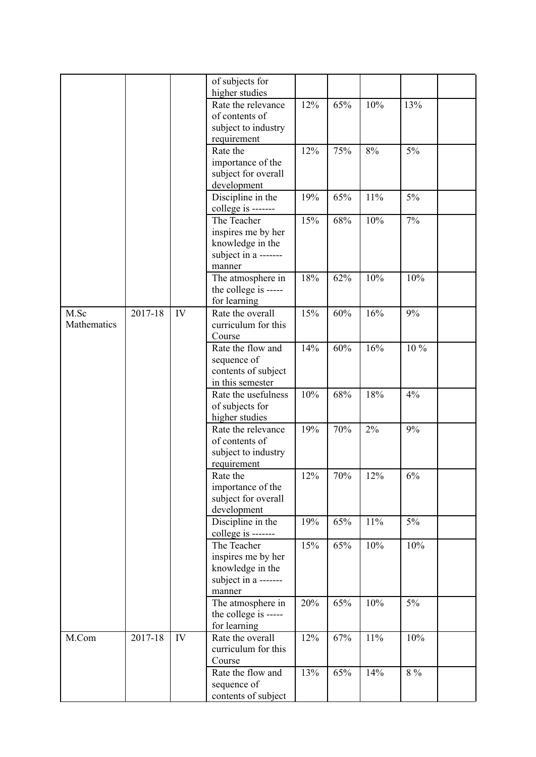|             |         |    | of subjects for      |     |        |     |         |  |
|-------------|---------|----|----------------------|-----|--------|-----|---------|--|
|             |         |    | higher studies       |     |        |     |         |  |
|             |         |    | Rate the relevance   | 12% | 65%    | 10% | 13%     |  |
|             |         |    | of contents of       |     |        |     |         |  |
|             |         |    | subject to industry  |     |        |     |         |  |
|             |         |    | requirement          |     |        |     |         |  |
|             |         |    | Rate the             | 12% | 75%    | 8%  | $5\%$   |  |
|             |         |    | importance of the    |     |        |     |         |  |
|             |         |    | subject for overall  |     |        |     |         |  |
|             |         |    | development          |     |        |     |         |  |
|             |         |    | Discipline in the    | 19% | 65%    | 11% | 5%      |  |
|             |         |    | college is -------   |     |        |     |         |  |
|             |         |    | The Teacher          | 15% | 68%    | 10% | 7%      |  |
|             |         |    | inspires me by her   |     |        |     |         |  |
|             |         |    | knowledge in the     |     |        |     |         |  |
|             |         |    | subject in a ------- |     |        |     |         |  |
|             |         |    | manner               |     |        |     |         |  |
|             |         |    | The atmosphere in    | 18% | 62%    | 10% | 10%     |  |
|             |         |    | the college is ----- |     |        |     |         |  |
|             |         |    | for learning         |     |        |     |         |  |
| M.Sc        | 2017-18 | IV | Rate the overall     | 15% | 60%    | 16% | 9%      |  |
| Mathematics |         |    | curriculum for this  |     |        |     |         |  |
|             |         |    | Course               |     |        |     |         |  |
|             |         |    | Rate the flow and    | 14% | 60%    | 16% | 10 %    |  |
|             |         |    | sequence of          |     |        |     |         |  |
|             |         |    | contents of subject  |     |        |     |         |  |
|             |         |    | in this semester     |     |        |     |         |  |
|             |         |    | Rate the usefulness  | 10% | 68%    | 18% | 4%      |  |
|             |         |    | of subjects for      |     |        |     |         |  |
|             |         |    | higher studies       |     |        |     |         |  |
|             |         |    | Rate the relevance   | 19% | 70%    | 2%  | 9%      |  |
|             |         |    | of contents of       |     |        |     |         |  |
|             |         |    | subject to industry  |     |        |     |         |  |
|             |         |    | requirement          |     |        |     |         |  |
|             |         |    | Rate the             | 12% | $70\%$ | 12% | $6\%$   |  |
|             |         |    | importance of the    |     |        |     |         |  |
|             |         |    | subject for overall  |     |        |     |         |  |
|             |         |    | development          |     |        |     |         |  |
|             |         |    | Discipline in the    | 19% | 65%    | 11% | 5%      |  |
|             |         |    | college is -------   |     |        |     |         |  |
|             |         |    | The Teacher          | 15% | 65%    | 10% | 10%     |  |
|             |         |    | inspires me by her   |     |        |     |         |  |
|             |         |    | knowledge in the     |     |        |     |         |  |
|             |         |    | subject in a ------- |     |        |     |         |  |
|             |         |    | manner               |     |        |     |         |  |
|             |         |    | The atmosphere in    | 20% | 65%    | 10% | 5%      |  |
|             |         |    | the college is ----- |     |        |     |         |  |
|             |         |    | for learning         |     |        |     |         |  |
| M.Com       | 2017-18 | IV | Rate the overall     | 12% | 67%    | 11% | 10%     |  |
|             |         |    | curriculum for this  |     |        |     |         |  |
|             |         |    | Course               |     |        |     |         |  |
|             |         |    | Rate the flow and    | 13% | 65%    | 14% | $8\ \%$ |  |
|             |         |    | sequence of          |     |        |     |         |  |
|             |         |    | contents of subject  |     |        |     |         |  |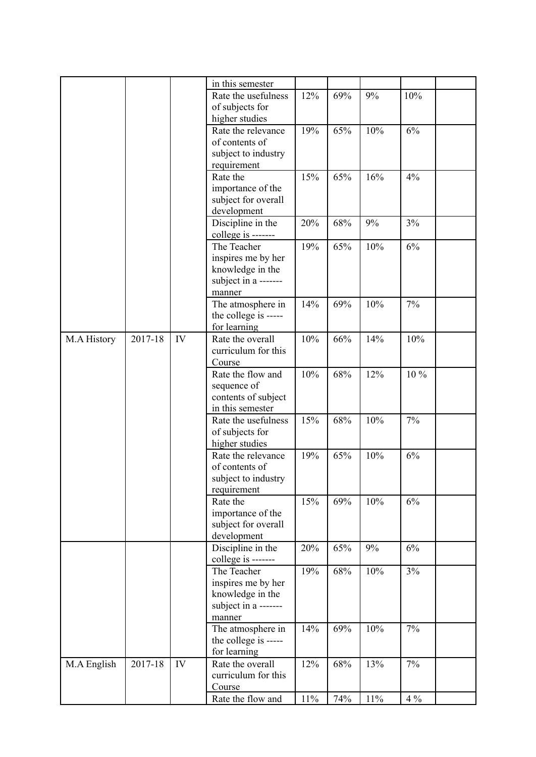|             |         |    | in this semester     |        |     |        |         |
|-------------|---------|----|----------------------|--------|-----|--------|---------|
|             |         |    | Rate the usefulness  | 12%    | 69% | 9%     | 10%     |
|             |         |    | of subjects for      |        |     |        |         |
|             |         |    | higher studies       |        |     |        |         |
|             |         |    | Rate the relevance   | 19%    | 65% | 10%    | 6%      |
|             |         |    | of contents of       |        |     |        |         |
|             |         |    |                      |        |     |        |         |
|             |         |    | subject to industry  |        |     |        |         |
|             |         |    | requirement          |        |     |        |         |
|             |         |    | Rate the             | 15%    | 65% | 16%    | 4%      |
|             |         |    | importance of the    |        |     |        |         |
|             |         |    | subject for overall  |        |     |        |         |
|             |         |    | development          |        |     |        |         |
|             |         |    | Discipline in the    | 20%    | 68% | 9%     | 3%      |
|             |         |    | college is -------   |        |     |        |         |
|             |         |    | The Teacher          |        |     |        | 6%      |
|             |         |    |                      | 19%    | 65% | 10%    |         |
|             |         |    | inspires me by her   |        |     |        |         |
|             |         |    | knowledge in the     |        |     |        |         |
|             |         |    | subject in a ------- |        |     |        |         |
|             |         |    | manner               |        |     |        |         |
|             |         |    | The atmosphere in    | 14%    | 69% | 10%    | 7%      |
|             |         |    | the college is ----- |        |     |        |         |
|             |         |    | for learning         |        |     |        |         |
| M.A History | 2017-18 | IV | Rate the overall     | 10%    | 66% | 14%    | 10%     |
|             |         |    | curriculum for this  |        |     |        |         |
|             |         |    | Course               |        |     |        |         |
|             |         |    | Rate the flow and    | 10%    | 68% | 12%    | 10%     |
|             |         |    |                      |        |     |        |         |
|             |         |    | sequence of          |        |     |        |         |
|             |         |    | contents of subject  |        |     |        |         |
|             |         |    | in this semester     |        |     |        |         |
|             |         |    | Rate the usefulness  | 15%    | 68% | 10%    | 7%      |
|             |         |    | of subjects for      |        |     |        |         |
|             |         |    | higher studies       |        |     |        |         |
|             |         |    | Rate the relevance   | 19%    | 65% | 10%    | 6%      |
|             |         |    | of contents of       |        |     |        |         |
|             |         |    | subject to industry  |        |     |        |         |
|             |         |    | requirement          |        |     |        |         |
|             |         |    | Rate the             | 15%    | 69% | 10%    | 6%      |
|             |         |    |                      |        |     |        |         |
|             |         |    | importance of the    |        |     |        |         |
|             |         |    | subject for overall  |        |     |        |         |
|             |         |    | development          |        |     |        |         |
|             |         |    | Discipline in the    | 20%    | 65% | 9%     | 6%      |
|             |         |    | college is -------   |        |     |        |         |
|             |         |    | The Teacher          | 19%    | 68% | 10%    | 3%      |
|             |         |    | inspires me by her   |        |     |        |         |
|             |         |    | knowledge in the     |        |     |        |         |
|             |         |    | subject in a ------- |        |     |        |         |
|             |         |    | manner               |        |     |        |         |
|             |         |    | The atmosphere in    | 14%    | 69% | 10%    | 7%      |
|             |         |    | the college is ----- |        |     |        |         |
|             |         |    | for learning         |        |     |        |         |
|             |         |    |                      |        |     |        |         |
| M.A English | 2017-18 | IV | Rate the overall     | 12%    | 68% | 13%    | 7%      |
|             |         |    | curriculum for this  |        |     |        |         |
|             |         |    | Course               |        |     |        |         |
|             |         |    | Rate the flow and    | $11\%$ | 74% | $11\%$ | $4\ \%$ |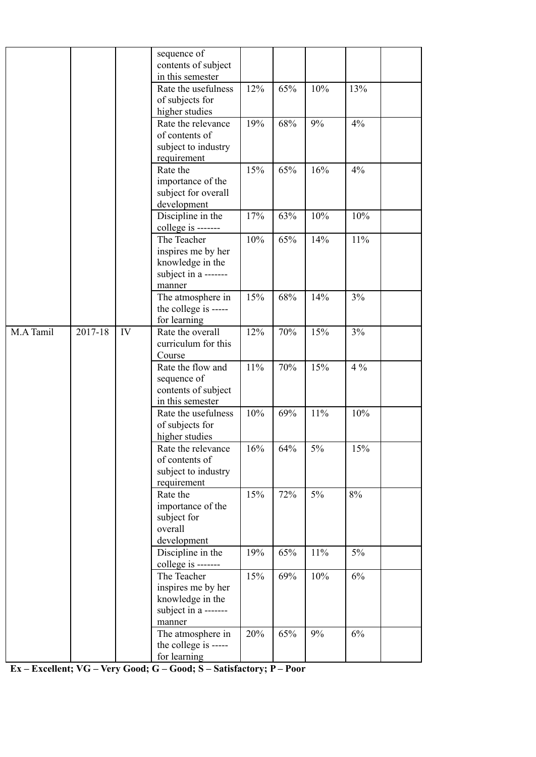|           |         |    | sequence of<br>contents of subject        |     |     |     |       |  |
|-----------|---------|----|-------------------------------------------|-----|-----|-----|-------|--|
|           |         |    | in this semester                          |     |     |     |       |  |
|           |         |    | Rate the usefulness                       | 12% | 65% | 10% | 13%   |  |
|           |         |    | of subjects for                           |     |     |     |       |  |
|           |         |    | higher studies                            |     |     |     |       |  |
|           |         |    | Rate the relevance                        | 19% | 68% | 9%  | 4%    |  |
|           |         |    | of contents of                            |     |     |     |       |  |
|           |         |    | subject to industry                       |     |     |     |       |  |
|           |         |    | requirement<br>Rate the                   | 15% | 65% | 16% | 4%    |  |
|           |         |    | importance of the                         |     |     |     |       |  |
|           |         |    | subject for overall                       |     |     |     |       |  |
|           |         |    | development                               |     |     |     |       |  |
|           |         |    | Discipline in the                         | 17% | 63% | 10% | 10%   |  |
|           |         |    | college is -------                        |     |     |     |       |  |
|           |         |    | The Teacher                               | 10% | 65% | 14% | 11%   |  |
|           |         |    | inspires me by her                        |     |     |     |       |  |
|           |         |    | knowledge in the                          |     |     |     |       |  |
|           |         |    | subject in a -------                      |     |     |     |       |  |
|           |         |    | manner                                    |     |     |     |       |  |
|           |         |    | The atmosphere in                         | 15% | 68% | 14% | 3%    |  |
|           |         |    | the college is -----                      |     |     |     |       |  |
|           |         |    | for learning                              |     |     |     |       |  |
| M.A Tamil | 2017-18 | IV | Rate the overall                          | 12% | 70% | 15% | 3%    |  |
|           |         |    | curriculum for this<br>Course             |     |     |     |       |  |
|           |         |    | Rate the flow and                         | 11% | 70% | 15% | $4\%$ |  |
|           |         |    | sequence of                               |     |     |     |       |  |
|           |         |    | contents of subject                       |     |     |     |       |  |
|           |         |    | in this semester                          |     |     |     |       |  |
|           |         |    | Rate the usefulness                       | 10% | 69% | 11% | 10%   |  |
|           |         |    | of subjects for                           |     |     |     |       |  |
|           |         |    | higher studies                            |     |     |     |       |  |
|           |         |    | Rate the relevance                        | 16% | 64% | 5%  | 15%   |  |
|           |         |    | of contents of                            |     |     |     |       |  |
|           |         |    | subject to industry                       |     |     |     |       |  |
|           |         |    | requirement                               | 15% |     |     |       |  |
|           |         |    | Rate the<br>importance of the             |     | 72% | 5%  | 8%    |  |
|           |         |    | subject for                               |     |     |     |       |  |
|           |         |    | overall                                   |     |     |     |       |  |
|           |         |    | development                               |     |     |     |       |  |
|           |         |    | Discipline in the                         | 19% | 65% | 11% | 5%    |  |
|           |         |    | college is -------                        |     |     |     |       |  |
|           |         |    | The Teacher                               | 15% | 69% | 10% | 6%    |  |
|           |         |    | inspires me by her                        |     |     |     |       |  |
|           |         |    | knowledge in the                          |     |     |     |       |  |
|           |         |    | subject in a -------                      |     |     |     |       |  |
|           |         |    | manner                                    |     |     |     |       |  |
|           |         |    | The atmosphere in<br>the college is ----- | 20% | 65% | 9%  | 6%    |  |
|           |         |    | for learning                              |     |     |     |       |  |
|           |         |    |                                           |     |     |     |       |  |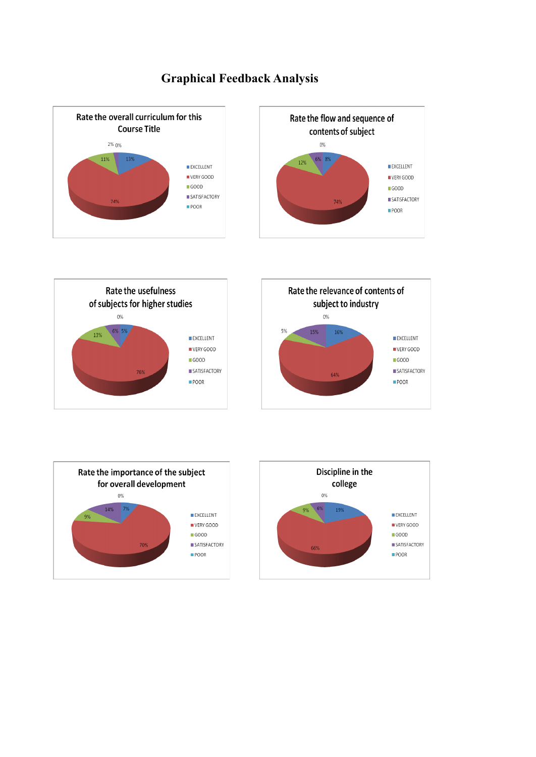# **Graphical Feedback Analysis**







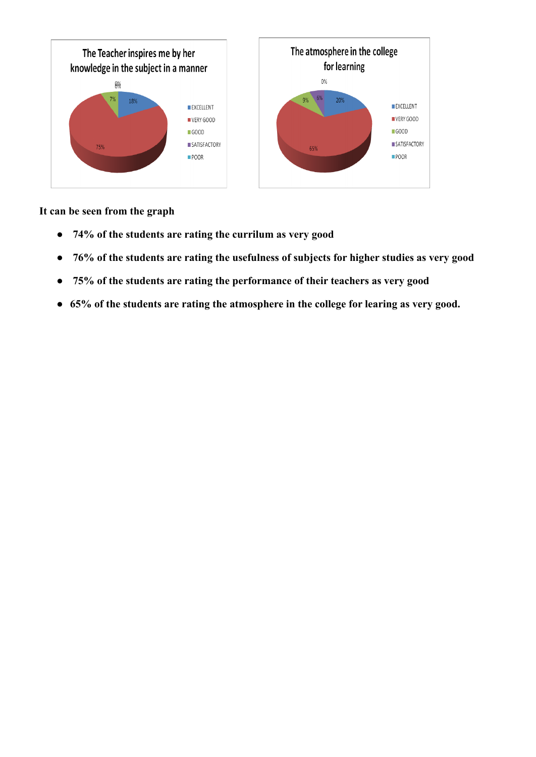

**It can be seen from the graph**

- **74% of the students are rating the currilum as very good**
- **76% of the students are rating the usefulness of subjects for higher studies as very good**
- **75% of the students are rating the performance of their teachers as very good**
- **65% of the students are rating the atmosphere in the college for learing as very good.**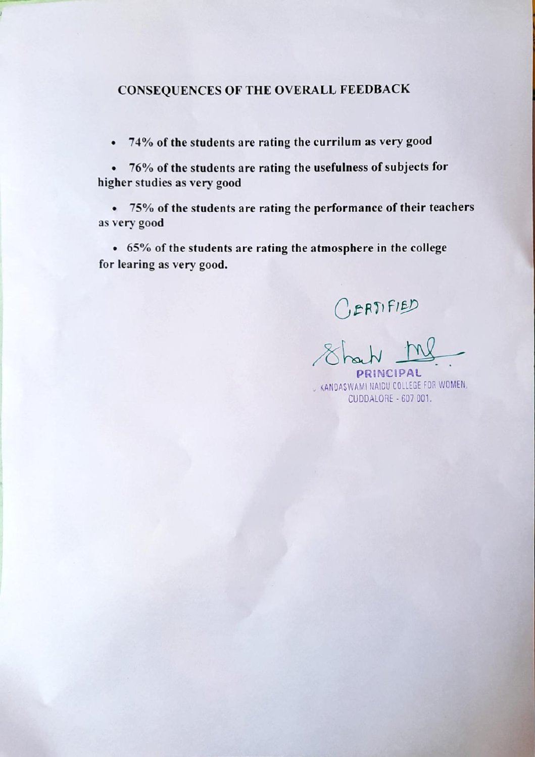### **CONSEQUENCES OF THE OVERALL FEEDBACK**

74% of the students are rating the currilum as very good  $\bullet$ 

76% of the students are rating the usefulness of subjects for  $\bullet$ higher studies as very good

75% of the students are rating the performance of their teachers  $\bullet$ as very good

• 65% of the students are rating the atmosphere in the college for learing as very good.

CERTIFIED<br>Shout <u>MP</u> RINCIPAL

KANDASWAMI NAIDU COLLEGE FOR WOMEN, CUDDALORE - 607 001.